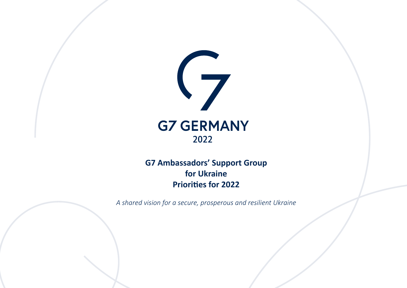

# **G7 Ambassadors' Support Group for Ukraine Priorities for 2022**

*A shared vision for a secure, prosperous and resilient Ukraine*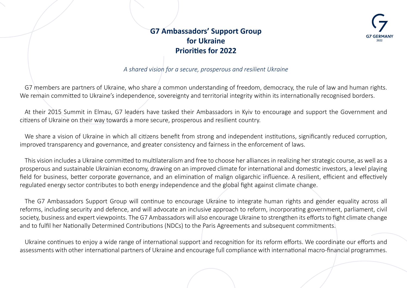

# **G7 Ambassadors' Support Group for Ukraine Priorities for 2022**

# *A shared vision for a secure, prosperous and resilient Ukraine*

G7 members are partners of Ukraine, who share a common understanding of freedom, democracy, the rule of law and human rights. We remain committed to Ukraine's independence, sovereignty and territorial integrity within its internationally recognised borders.

At their 2015 Summit in Elmau, G7 leaders have tasked their Ambassadors in Kyiv to encourage and support the Government and citizens of Ukraine on their way towards a more secure, prosperous and resilient country.

We share a vision of Ukraine in which all citizens benefit from strong and independent institutions, significantly reduced corruption, improved transparency and governance, and greater consistency and fairness in the enforcement of laws.

This vision includes a Ukraine committed to multilateralism and free to choose her alliances in realizing her strategic course, as well as a prosperous and sustainable Ukrainian economy, drawing on an improved climate for international and domestic investors, a level playing field for business, better corporate governance, and an elimination of malign oligarchic influence. A resilient, efficient and effectively regulated energy sector contributes to both energy independence and the global fight against climate change.

The G7 Ambassadors Support Group will continue to encourage Ukraine to integrate human rights and gender equality across all reforms, including security and defence, and will advocate an inclusive approach to reform, incorporating government, parliament, civil society, business and expert viewpoints. The G7 Ambassadors will also encourage Ukraine to strengthen its efforts to fight climate change and to fulfil her Nationally Determined Contributions (NDCs) to the Paris Agreements and subsequent commitments.

Ukraine continues to enjoy a wide range of international support and recognition for its reform efforts. We coordinate our efforts and assessments with other international partners of Ukraine and encourage full compliance with international macro-financial programmes.